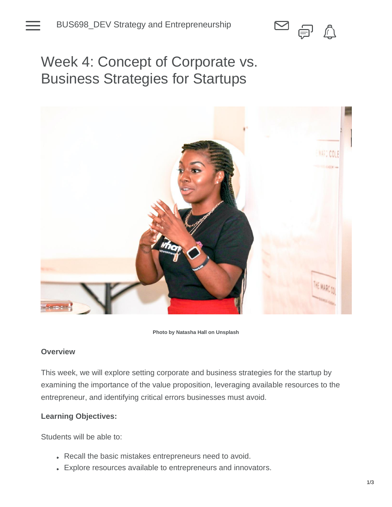

Week 4: Concept of Corporate vs. Business Strategies for Startups



**Photo by Natasha Hall on Unsplash**

## **Overview**

This week, we will explore setting corporate and business strategies for the startup by examining the importance of the value proposition, leveraging available resources to the entrepreneur, and identifying critical errors businesses must avoid.

## **Learning Objectives:**

Students will be able to:

- Recall the basic mistakes entrepreneurs need to avoid.
- Explore resources available to entrepreneurs and innovators.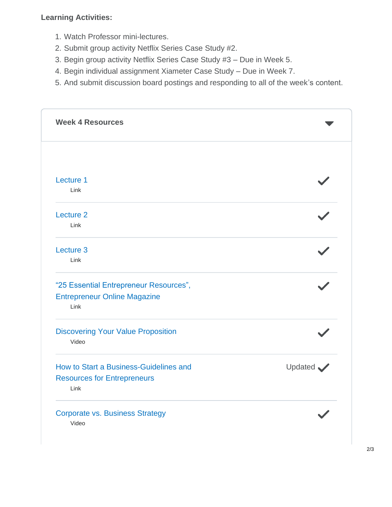## **Learning Activities:**

- 1. Watch Professor mini-lectures.
- 2. Submit group activity Netflix Series Case Study #2.
- 3. Begin group activity Netflix Series Case Study #3 Due in Week 5.
- 4. Begin individual assignment Xiameter Case Study Due in Week 7.
- 5. And submit discussion board postings and responding to all of the week's content.

| <b>Week 4 Resources</b>                            |           |
|----------------------------------------------------|-----------|
|                                                    |           |
| Lecture 1                                          |           |
| Link                                               |           |
| Lecture 2                                          |           |
| Link                                               |           |
| Lecture 3                                          |           |
| Link                                               |           |
| "25 Essential Entrepreneur Resources",             |           |
| <b>Entrepreneur Online Magazine</b><br>Link        |           |
| <b>Discovering Your Value Proposition</b><br>Video |           |
| How to Start a Business-Guidelines and             | Updated V |
| <b>Resources for Entrepreneurs</b><br>Link         |           |
| <b>Corporate vs. Business Strategy</b>             |           |
| Video                                              |           |